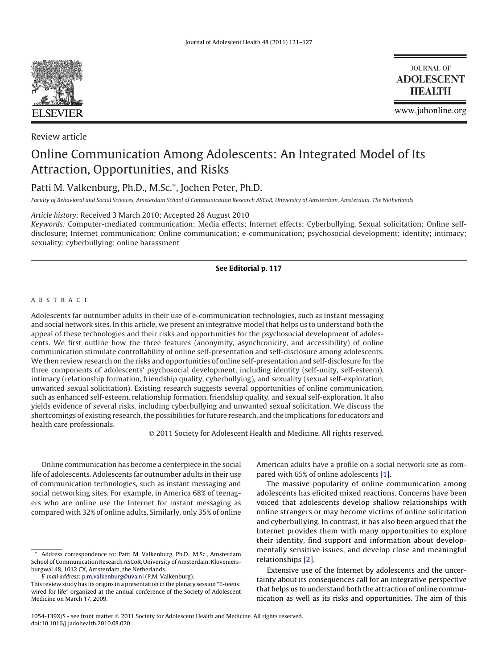

Review article

**JOURNAL OF ADOLESCENT HEALTH** 

www.jahonline.org

# Online Communication Among Adolescents: An Integrated Model of Its Attraction, Opportunities, and Risks

Patti M. Valkenburg, Ph.D., M.Sc.\*, Jochen Peter, Ph.D.

*Faculty of Behavioral and Social Sciences, Amsterdam School of Communication Research ASCoR, University of Amsterdam, Amsterdam, The Netherlands*

*Article history:* Received 3 March 2010; Accepted 28 August 2010

*Keywords:* Computer-mediated communication; Media effects; Internet effects; Cyberbullying, Sexual solicitation; Online selfdisclosure; Internet communication; Online communication; e-communication; psychosocial development; identity; intimacy; sexuality; cyberbullying; online harassment

# **See Editorial p. 117**

## ABSTRACT

Adolescents far outnumber adults in their use of e-communication technologies, such as instant messaging and social network sites. In this article, we present an integrative model that helps us to understand both the appeal of these technologies and their risks and opportunities for the psychosocial development of adolescents. We first outline how the three features (anonymity, asynchronicity, and accessibility) of online communication stimulate controllability of online self-presentation and self-disclosure among adolescents. We then review research on the risks and opportunities of online self-presentation and self-disclosure for the three components of adolescents' psychosocial development, including identity (self-unity, self-esteem), intimacy (relationship formation, friendship quality, cyberbullying), and sexuality (sexual self-exploration, unwanted sexual solicitation). Existing research suggests several opportunities of online communication, such as enhanced self-esteem, relationship formation, friendship quality, and sexual self-exploration. It also yields evidence of several risks, including cyberbullying and unwanted sexual solicitation. We discuss the shortcomings of existing research, the possibilities for future research, and the implications for educators and health care professionals.

2011 Society for Adolescent Health and Medicine. All rights reserved.

Online communication has become a centerpiece in the social life of adolescents. Adolescents far outnumber adults in their use of communication technologies, such as instant messaging and social networking sites. For example, in America 68% of teenagers who are online use the Internet for instant messaging as compared with 32% of online adults. Similarly, only 35% of online

*E-mail address:* [p.m.valkenburg@uva.nl](mailto:p.m.valkenburg@uva.nl) (P.M. Valkenburg).

American adults have a profile on a social network site as compared with 65% of online adolescents [\[1\].](#page-5-0)

The massive popularity of online communication among adolescents has elicited mixed reactions. Concerns have been voiced that adolescents develop shallow relationships with online strangers or may become victims of online solicitation and cyberbullying. In contrast, it has also been argued that the Internet provides them with many opportunities to explore their identity, find support and information about developmentally sensitive issues, and develop close and meaningful relationships [\[2\].](#page-5-0)

Extensive use of the Internet by adolescents and the uncertainty about its consequences call for an integrative perspective that helps us to understand both the attraction of online communication as well as its risks and opportunities. The aim of this

Address correspondence to: Patti M. Valkenburg, Ph.D., M.Sc., Amsterdam School of Communication Research ASCoR, University of Amsterdam, Kloveniersburgwal 48, 1012 CX, Amsterdam, the Netherlands.

This review study has its origins in a presentation in the plenary session "E-teens: wired for life" organized at the annual conference of the Society of Adolescent Medicine on March 17, 2009.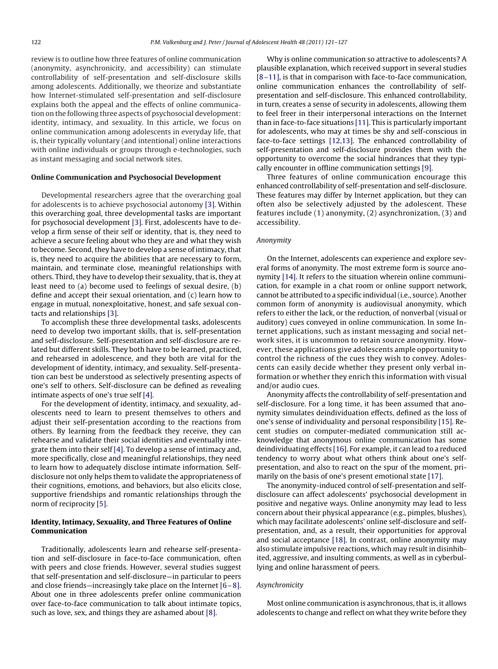review is to outline how three features of online communication (anonymity, asynchronicity, and accessibility) can stimulate controllability of self-presentation and self-disclosure skills among adolescents. Additionally, we theorize and substantiate how Internet-stimulated self-presentation and self-disclosure explains both the appeal and the effects of online communication on the following three aspects of psychosocial development: identity, intimacy, and sexuality. In this article, we focus on online communication among adolescents in everyday life, that is, their typically voluntary (and intentional) online interactions with online individuals or groups through e-technologies, such as instant messaging and social network sites.

## **Online Communication and Psychosocial Development**

Developmental researchers agree that the overarching goal for adolescents is to achieve psychosocial autonomy [\[3\].](#page-5-0) Within this overarching goal, three developmental tasks are important for psychosocial development [\[3\].](#page-5-0) First, adolescents have to develop a firm sense of their self or identity, that is, they need to achieve a secure feeling about who they are and what they wish to become. Second, they have to develop a sense of intimacy, that is, they need to acquire the abilities that are necessary to form, maintain, and terminate close, meaningful relationships with others. Third, they have to develop their sexuality, that is, they at least need to (a) become used to feelings of sexual desire, (b) define and accept their sexual orientation, and (c) learn how to engage in mutual, nonexploitative, honest, and safe sexual contacts and relationships [\[3\].](#page-5-0)

To accomplish these three developmental tasks, adolescents need to develop two important skills, that is, self-presentation and self-disclosure. Self-presentation and self-disclosure are related but different skills. They both have to be learned, practiced, and rehearsed in adolescence, and they both are vital for the development of identity, intimacy, and sexuality. Self-presentation can best be understood as selectively presenting aspects of one's self to others. Self-disclosure can be defined as revealing intimate aspects of one's true self [\[4\].](#page-5-0)

For the development of identity, intimacy, and sexuality, adolescents need to learn to present themselves to others and adjust their self-presentation according to the reactions from others. By learning from the feedback they receive, they can rehearse and validate their social identities and eventually integrate them into their self [\[4\].](#page-5-0) To develop a sense of intimacy and, more specifically, close and meaningful relationships, they need to learn how to adequately disclose intimate information. Selfdisclosure not only helps them to validate the appropriateness of their cognitions, emotions, and behaviors, but also elicits close, supportive friendships and romantic relationships through the norm of reciprocity [\[5\].](#page-5-0)

# **Identity, Intimacy, Sexuality, and Three Features of Online Communication**

Traditionally, adolescents learn and rehearse self-presentation and self-disclosure in face-to-face communication, often with peers and close friends. However, several studies suggest that self-presentation and self-disclosure—in particular to peers and close friends—increasingly take place on the Internet  $[6-8]$ . About one in three adolescents prefer online communication over face-to-face communication to talk about intimate topics, such as love, sex, and things they are ashamed about [\[8\].](#page-5-0)

Why is online communication so attractive to adolescents? A plausible explanation, which received support in several studies [\[8 –11\],](#page-5-0) is that in comparison with face-to-face communication, online communication enhances the controllability of selfpresentation and self-disclosure. This enhanced controllability, in turn, creates a sense of security in adolescents, allowing them to feel freer in their interpersonal interactions on the Internet than in face-to-face situations [\[11\].](#page-5-0) This is particularly important for adolescents, who may at times be shy and self-conscious in face-to-face settings [\[12,13\].](#page-5-0) The enhanced controllability of self-presentation and self-disclosure provides them with the opportunity to overcome the social hindrances that they typically encounter in offline communication settings [\[9\].](#page-5-0)

Three features of online communication encourage this enhanced controllability of self-presentation and self-disclosure. These features may differ by Internet application, but they can often also be selectively adjusted by the adolescent. These features include (1) anonymity, (2) asynchronization, (3) and accessibility.

## *Anonymity*

On the Internet, adolescents can experience and explore several forms of anonymity. The most extreme form is source anonymity [\[14\].](#page-5-0) It refers to the situation wherein online communication, for example in a chat room or online support network, cannot be attributed to a specific individual (i.e., source). Another common form of anonymity is audiovisual anonymity, which refers to either the lack, or the reduction, of nonverbal (visual or auditory) cues conveyed in online communication. In some Internet applications, such as instant messaging and social network sites, it is uncommon to retain source anonymity. However, these applications give adolescents ample opportunity to control the richness of the cues they wish to convey. Adolescents can easily decide whether they present only verbal information or whether they enrich this information with visual and/or audio cues.

Anonymity affects the controllability of self-presentation and self-disclosure. For a long time, it has been assumed that anonymity simulates deindividuation effects, defined as the loss of one's sense of individuality and personal responsibility [\[15\].](#page-5-0) Recent studies on computer-mediated communication still acknowledge that anonymous online communication has some deindividuating effects [\[16\].](#page-5-0) For example, it can lead to a reduced tendency to worry about what others think about one's selfpresentation, and also to react on the spur of the moment, primarily on the basis of one's present emotional state [\[17\].](#page-5-0)

The anonymity-induced control of self-presentation and selfdisclosure can affect adolescents' psychosocial development in positive and negative ways. Online anonymity may lead to less concern about their physical appearance (e.g., pimples, blushes), which may facilitate adolescents' online self-disclosure and selfpresentation, and, as a result, their opportunities for approval and social acceptance [\[18\].](#page-5-0) In contrast, online anonymity may also stimulate impulsive reactions, which may result in disinhibited, aggressive, and insulting comments, as well as in cyberbullying and online harassment of peers.

#### *Asynchronicity*

Most online communication is asynchronous, that is, it allows adolescents to change and reflect on what they write before they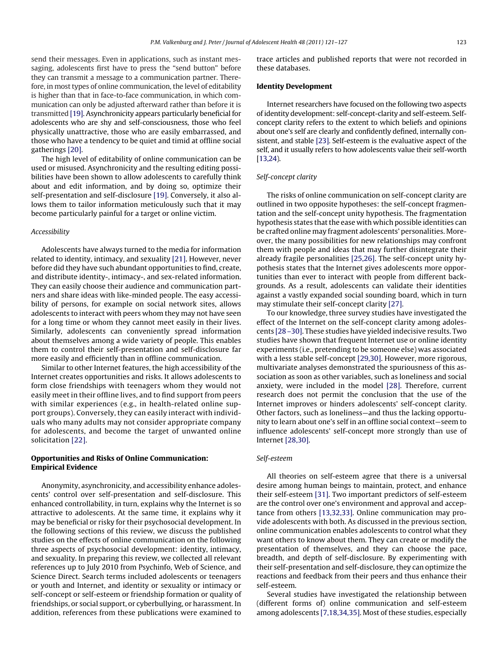send their messages. Even in applications, such as instant messaging, adolescents first have to press the "send button" before they can transmit a message to a communication partner. Therefore, in most types of online communication, the level of editability is higher than that in face-to-face communication, in which communication can only be adjusted afterward rather than before it is transmitted [\[19\].](#page-5-0) Asynchronicity appears particularly beneficial for adolescents who are shy and self-consciousness, those who feel physically unattractive, those who are easily embarrassed, and those who have a tendency to be quiet and timid at offline social gatherings [\[20\].](#page-5-0)

The high level of editability of online communication can be used or misused. Asynchronicity and the resulting editing possibilities have been shown to allow adolescents to carefully think about and edit information, and by doing so, optimize their self-presentation and self-disclosure [\[19\].](#page-5-0) Conversely, it also allows them to tailor information meticulously such that it may become particularly painful for a target or online victim.

## *Accessibility*

Adolescents have always turned to the media for information related to identity, intimacy, and sexuality [\[21\].](#page-5-0) However, never before did they have such abundant opportunities to find, create, and distribute identity-, intimacy-, and sex-related information. They can easily choose their audience and communication partners and share ideas with like-minded people. The easy accessibility of persons, for example on social network sites, allows adolescents to interact with peers whom they may not have seen for a long time or whom they cannot meet easily in their lives. Similarly, adolescents can conveniently spread information about themselves among a wide variety of people. This enables them to control their self-presentation and self-disclosure far more easily and efficiently than in offline communication.

Similar to other Internet features, the high accessibility of the Internet creates opportunities and risks. It allows adolescents to form close friendships with teenagers whom they would not easily meet in their offline lives, and to find support from peers with similar experiences (e.g., in health-related online support groups). Conversely, they can easily interact with individuals who many adults may not consider appropriate company for adolescents, and become the target of unwanted online solicitation [\[22\].](#page-5-0)

# **Opportunities and Risks of Online Communication: Empirical Evidence**

Anonymity, asynchronicity, and accessibility enhance adolescents' control over self-presentation and self-disclosure. This enhanced controllability, in turn, explains why the Internet is so attractive to adolescents. At the same time, it explains why it may be beneficial or risky for their psychosocial development. In the following sections of this review, we discuss the published studies on the effects of online communication on the following three aspects of psychosocial development: identity, intimacy, and sexuality. In preparing this review, we collected all relevant references up to July 2010 from Psychinfo, Web of Science, and Science Direct. Search terms included adolescents or teenagers or youth and Internet, and identity or sexuality or intimacy or self-concept or self-esteem or friendship formation or quality of friendships, or social support, or cyberbullying, or harassment. In addition, references from these publications were examined to

trace articles and published reports that were not recorded in these databases.

## **Identity Development**

Internet researchers have focused on the following two aspects of identity development: self-concept-clarity and self-esteem. Selfconcept clarity refers to the extent to which beliefs and opinions about one's self are clearly and confidently defined, internally consistent, and stable [\[23\].](#page-5-0) Self-esteem is the evaluative aspect of the self, and it usually refers to how adolescents value their self-worth [\[13,24\)](#page-5-0).

## *Self-concept clarity*

The risks of online communication on self-concept clarity are outlined in two opposite hypotheses: the self-concept fragmentation and the self-concept unity hypothesis. The fragmentation hypothesis states that the ease with which possible identities can be crafted online may fragment adolescents' personalities. Moreover, the many possibilities for new relationships may confront them with people and ideas that may further disintegrate their already fragile personalities [\[25,26\].](#page-6-0) The self-concept unity hypothesis states that the Internet gives adolescents more opportunities than ever to interact with people from different backgrounds. As a result, adolescents can validate their identities against a vastly expanded social sounding board, which in turn may stimulate their self-concept clarity [\[27\].](#page-6-0)

To our knowledge, three survey studies have investigated the effect of the Internet on the self-concept clarity among adolescents [\[28 –30\].](#page-6-0) These studies have yielded indecisive results. Two studies have shown that frequent Internet use or online identity experiments (i.e., pretending to be someone else) was associated with a less stable self-concept [\[29,30\].](#page-6-0) However, more rigorous, multivariate analyses demonstrated the spuriousness of this association as soon as other variables, such as loneliness and social anxiety, were included in the model [\[28\].](#page-6-0) Therefore, current research does not permit the conclusion that the use of the Internet improves or hinders adolescents' self-concept clarity. Other factors, such as loneliness—and thus the lacking opportunity to learn about one's self in an offline social context—seem to influence adolescents' self-concept more strongly than use of Internet [\[28,30\].](#page-6-0)

#### *Self-esteem*

All theories on self-esteem agree that there is a universal desire among human beings to maintain, protect, and enhance their self-esteem [\[31\].](#page-6-0) Two important predictors of self-esteem are the control over one's environment and approval and acceptance from others [\[13,32,33\].](#page-5-0) Online communication may provide adolescents with both. As discussed in the previous section, online communication enables adolescents to control what they want others to know about them. They can create or modify the presentation of themselves, and they can choose the pace, breadth, and depth of self-disclosure. By experimenting with their self-presentation and self-disclosure, they can optimize the reactions and feedback from their peers and thus enhance their self-esteem.

Several studies have investigated the relationship between (different forms of) online communication and self-esteem among adolescents [\[7,18,34,35\].](#page-5-0) Most of these studies, especially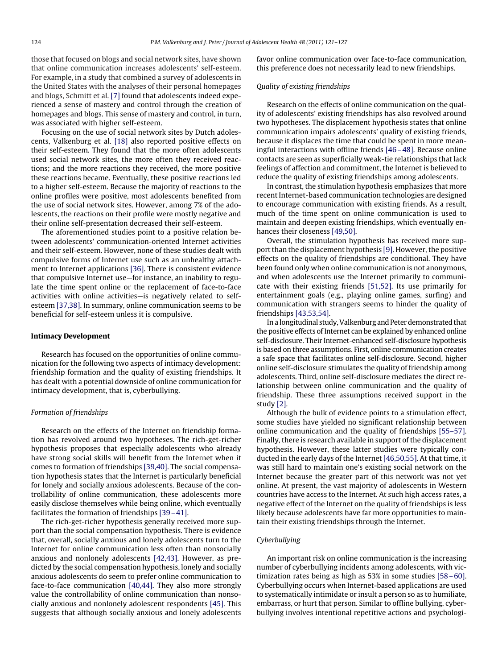those that focused on blogs and social network sites, have shown that online communication increases adolescents' self-esteem. For example, in a study that combined a survey of adolescents in the United States with the analyses of their personal homepages and blogs, Schmitt et al. [\[7\]](#page-5-0) found that adolescents indeed experienced a sense of mastery and control through the creation of homepages and blogs. This sense of mastery and control, in turn, was associated with higher self-esteem.

Focusing on the use of social network sites by Dutch adolescents, Valkenburg et al. [\[18\]](#page-5-0) also reported positive effects on their self-esteem. They found that the more often adolescents used social network sites, the more often they received reactions; and the more reactions they received, the more positive these reactions became. Eventually, these positive reactions led to a higher self-esteem. Because the majority of reactions to the online profiles were positive, most adolescents benefited from the use of social network sites. However, among 7% of the adolescents, the reactions on their profile were mostly negative and their online self-presentation decreased their self-esteem.

The aforementioned studies point to a positive relation between adolescents' communication-oriented Internet activities and their self-esteem. However, none of these studies dealt with compulsive forms of Internet use such as an unhealthy attachment to Internet applications [\[36\].](#page-6-0) There is consistent evidence that compulsive Internet use—for instance, an inability to regulate the time spent online or the replacement of face-to-face activities with online activities—is negatively related to selfesteem [\[37,38\].](#page-6-0) In summary, online communication seems to be beneficial for self-esteem unless it is compulsive.

#### **Intimacy Development**

Research has focused on the opportunities of online communication for the following two aspects of intimacy development: friendship formation and the quality of existing friendships. It has dealt with a potential downside of online communication for intimacy development, that is, cyberbullying.

## *Formation of friendships*

Research on the effects of the Internet on friendship formation has revolved around two hypotheses. The rich-get-richer hypothesis proposes that especially adolescents who already have strong social skills will benefit from the Internet when it comes to formation of friendships [\[39,40\].](#page-6-0) The social compensation hypothesis states that the Internet is particularly beneficial for lonely and socially anxious adolescents. Because of the controllability of online communication, these adolescents more easily disclose themselves while being online, which eventually facilitates the formation of friendships [\[39 – 41\].](#page-6-0)

The rich-get-richer hypothesis generally received more support than the social compensation hypothesis. There is evidence that, overall, socially anxious and lonely adolescents turn to the Internet for online communication less often than nonsocially anxious and nonlonely adolescents [\[42,43\].](#page-6-0) However, as predicted by the social compensation hypothesis, lonely and socially anxious adolescents do seem to prefer online communication to face-to-face communication [\[40,44\].](#page-6-0) They also more strongly value the controllability of online communication than nonsocially anxious and nonlonely adolescent respondents [\[45\].](#page-6-0) This suggests that although socially anxious and lonely adolescents favor online communication over face-to-face communication, this preference does not necessarily lead to new friendships.

#### *Quality of existing friendships*

Research on the effects of online communication on the quality of adolescents' existing friendships has also revolved around two hypotheses. The displacement hypothesis states that online communication impairs adolescents' quality of existing friends, because it displaces the time that could be spent in more meaningful interactions with offline friends [\[46 – 48\].](#page-6-0) Because online contacts are seen as superficially weak-tie relationships that lack feelings of affection and commitment, the Internet is believed to reduce the quality of existing friendships among adolescents.

In contrast, the stimulation hypothesis emphasizes that more recent Internet-based communication technologies are designed to encourage communication with existing friends. As a result, much of the time spent on online communication is used to maintain and deepen existing friendships, which eventually enhances their closeness [\[49,50\].](#page-6-0)

Overall, the stimulation hypothesis has received more support than the displacement hypothesis [\[9\].](#page-5-0) However, the positive effects on the quality of friendships are conditional. They have been found only when online communication is not anonymous, and when adolescents use the Internet primarily to communicate with their existing friends [\[51,52\].](#page-6-0) Its use primarily for entertainment goals (e.g., playing online games, surfing) and communication with strangers seems to hinder the quality of friendships [\[43,53,54\].](#page-6-0)

In a longitudinal study, Valkenburg and Peter demonstrated that the positive effects of Internet can be explained by enhanced online self-disclosure. Their Internet-enhanced self-disclosure hypothesis is based on three assumptions. First, online communication creates a safe space that facilitates online self-disclosure. Second, higher online self-disclosure stimulates the quality of friendship among adolescents. Third, online self-disclosure mediates the direct relationship between online communication and the quality of friendship. These three assumptions received support in the study [\[2\].](#page-5-0)

Although the bulk of evidence points to a stimulation effect, some studies have yielded no significant relationship between online communication and the quality of friendships [\[55–57\].](#page-6-0) Finally, there is research available in support of the displacement hypothesis. However, these latter studies were typically conducted in the early days of the Internet [\[46,50,55\].](#page-6-0) At that time, it was still hard to maintain one's existing social network on the Internet because the greater part of this network was not yet online. At present, the vast majority of adolescents in Western countries have access to the Internet. At such high access rates, a negative effect of the Internet on the quality of friendships is less likely because adolescents have far more opportunities to maintain their existing friendships through the Internet.

## *Cyberbullying*

An important risk on online communication is the increasing number of cyberbullying incidents among adolescents, with victimization rates being as high as 53% in some studies [\[58 – 60\].](#page-6-0) Cyberbullying occurs when Internet-based applications are used to systematically intimidate or insult a person so as to humiliate, embarrass, or hurt that person. Similar to offline bullying, cyberbullying involves intentional repetitive actions and psychologi-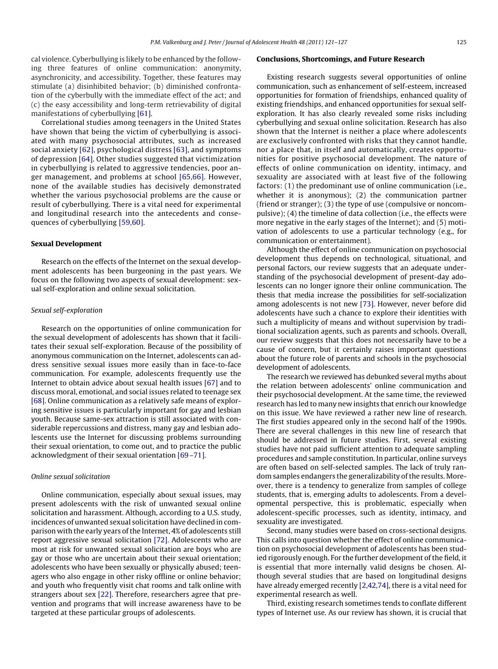cal violence. Cyberbullying is likely to be enhanced by the following three features of online communication: anonymity, asynchronicity, and accessibility. Together, these features may stimulate (a) disinhibited behavior; (b) diminished confrontation of the cyberbully with the immediate effect of the act; and (c) the easy accessibility and long-term retrievability of digital manifestations of cyberbullying [\[61\].](#page-6-0)

Correlational studies among teenagers in the United States have shown that being the victim of cyberbullying is associated with many psychosocial attributes, such as increased social anxiety [\[62\],](#page-6-0) psychological distress [\[63\],](#page-6-0) and symptoms of depression [\[64\].](#page-6-0) Other studies suggested that victimization in cyberbullying is related to aggressive tendencies, poor anger management, and problems at school [\[65,66\].](#page-6-0) However, none of the available studies has decisively demonstrated whether the various psychosocial problems are the cause or result of cyberbullying. There is a vital need for experimental and longitudinal research into the antecedents and consequences of cyberbullying [\[59,60\].](#page-6-0)

## **Sexual Development**

Research on the effects of the Internet on the sexual development adolescents has been burgeoning in the past years. We focus on the following two aspects of sexual development: sexual self-exploration and online sexual solicitation.

## *Sexual self-exploration*

Research on the opportunities of online communication for the sexual development of adolescents has shown that it facilitates their sexual self-exploration. Because of the possibility of anonymous communication on the Internet, adolescents can address sensitive sexual issues more easily than in face-to-face communication. For example, adolescents frequently use the Internet to obtain advice about sexual health issues [\[67\]](#page-6-0) and to discuss moral, emotional, and social issues related to teenage sex [\[68\].](#page-6-0) Online communication as a relatively safe means of exploring sensitive issues is particularly important for gay and lesbian youth. Because same-sex attraction is still associated with considerable repercussions and distress, many gay and lesbian adolescents use the Internet for discussing problems surrounding their sexual orientation, to come out, and to practice the public acknowledgment of their sexual orientation [\[69 –71\].](#page-6-0)

#### *Online sexual solicitation*

Online communication, especially about sexual issues, may present adolescents with the risk of unwanted sexual online solicitation and harassment. Although, according to a U.S. study, incidences of unwanted sexual solicitation have declined in comparison with the early years of the Internet, 4% of adolescents still report aggressive sexual solicitation [\[72\].](#page-6-0) Adolescents who are most at risk for unwanted sexual solicitation are boys who are gay or those who are uncertain about their sexual orientation; adolescents who have been sexually or physically abused; teenagers who also engage in other risky offline or online behavior; and youth who frequently visit chat rooms and talk online with strangers about sex [\[22\].](#page-5-0) Therefore, researchers agree that prevention and programs that will increase awareness have to be targeted at these particular groups of adolescents.

## **Conclusions, Shortcomings, and Future Research**

Existing research suggests several opportunities of online communication, such as enhancement of self-esteem, increased opportunities for formation of friendships, enhanced quality of existing friendships, and enhanced opportunities for sexual selfexploration. It has also clearly revealed some risks including cyberbullying and sexual online solicitation. Research has also shown that the Internet is neither a place where adolescents are exclusively confronted with risks that they cannot handle, nor a place that, in itself and automatically, creates opportunities for positive psychosocial development. The nature of effects of online communication on identity, intimacy, and sexuality are associated with at least five of the following factors: (1) the predominant use of online communication (i.e., whether it is anonymous); (2) the communication partner (friend or stranger); (3) the type of use (compulsive or noncompulsive); (4) the timeline of data collection (i.e., the effects were more negative in the early stages of the Internet); and (5) motivation of adolescents to use a particular technology (e.g., for communication or entertainment).

Although the effect of online communication on psychosocial development thus depends on technological, situational, and personal factors, our review suggests that an adequate understanding of the psychosocial development of present-day adolescents can no longer ignore their online communication. The thesis that media increase the possibilities for self-socialization among adolescents is not new [\[73\].](#page-6-0) However, never before did adolescents have such a chance to explore their identities with such a multiplicity of means and without supervision by traditional socialization agents, such as parents and schools. Overall, our review suggests that this does not necessarily have to be a cause of concern, but it certainly raises important questions about the future role of parents and schools in the psychosocial development of adolescents.

The research we reviewed has debunked several myths about the relation between adolescents' online communication and their psychosocial development. At the same time, the reviewed research has led to many new insights that enrich our knowledge on this issue. We have reviewed a rather new line of research. The first studies appeared only in the second half of the 1990s. There are several challenges in this new line of research that should be addressed in future studies. First, several existing studies have not paid sufficient attention to adequate sampling procedures and sample constitution. In particular, online surveys are often based on self-selected samples. The lack of truly random samples endangers the generalizability of the results. Moreover, there is a tendency to generalize from samples of college students, that is, emerging adults to adolescents. From a developmental perspective, this is problematic, especially when adolescent-specific processes, such as identity, intimacy, and sexuality are investigated.

Second, many studies were based on cross-sectional designs. This calls into question whether the effect of online communication on psychosocial development of adolescents has been studied rigorously enough. For the further development of the field, it is essential that more internally valid designs be chosen. Although several studies that are based on longitudinal designs have already emerged recently [\[2,42,74\],](#page-5-0) there is a vital need for experimental research as well.

Third, existing research sometimes tends to conflate different types of Internet use. As our review has shown, it is crucial that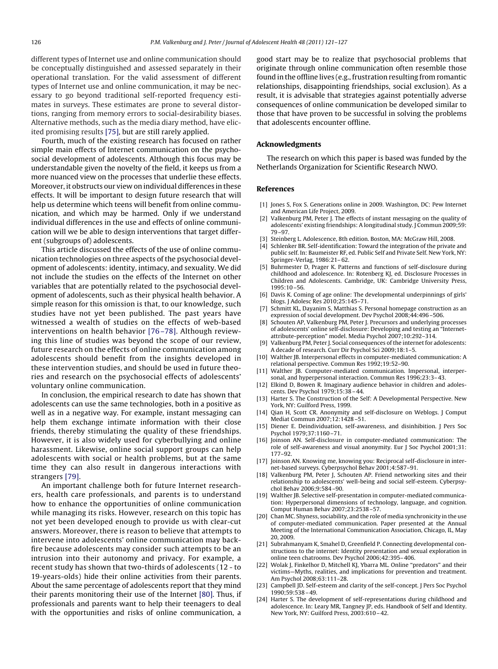<span id="page-5-0"></span>different types of Internet use and online communication should be conceptually distinguished and assessed separately in their operational translation. For the valid assessment of different types of Internet use and online communication, it may be necessary to go beyond traditional self-reported frequency estimates in surveys. These estimates are prone to several distortions, ranging from memory errors to social-desirability biases. Alternative methods, such as the media diary method, have elicited promising results [\[75\],](#page-6-0) but are still rarely applied.

Fourth, much of the existing research has focused on rather simple main effects of Internet communication on the psychosocial development of adolescents. Although this focus may be understandable given the novelty of the field, it keeps us from a more nuanced view on the processes that underlie these effects. Moreover, it obstructs our view on individual differences in these effects. It will be important to design future research that will help us determine which teens will benefit from online communication, and which may be harmed. Only if we understand individual differences in the use and effects of online communication will we be able to design interventions that target different (subgroups of) adolescents.

This article discussed the effects of the use of online communication technologies on three aspects of the psychosocial development of adolescents: identity, intimacy, and sexuality. We did not include the studies on the effects of the Internet on other variables that are potentially related to the psychosocial development of adolescents, such as their physical health behavior. A simple reason for this omission is that, to our knowledge, such studies have not yet been published. The past years have witnessed a wealth of studies on the effects of web-based interventions on health behavior [\[76 –78\].](#page-6-0) Although reviewing this line of studies was beyond the scope of our review, future research on the effects of online communication among adolescents should benefit from the insights developed in these intervention studies, and should be used in future theories and research on the psychosocial effects of adolescents' voluntary online communication.

In conclusion, the empirical research to date has shown that adolescents can use the same technologies, both in a positive as well as in a negative way. For example, instant messaging can help them exchange intimate information with their close friends, thereby stimulating the quality of these friendships. However, it is also widely used for cyberbullying and online harassment. Likewise, online social support groups can help adolescents with social or health problems, but at the same time they can also result in dangerous interactions with strangers [\[79\].](#page-6-0)

An important challenge both for future Internet researchers, health care professionals, and parents is to understand how to enhance the opportunities of online communication while managing its risks. However, research on this topic has not yet been developed enough to provide us with clear-cut answers. Moreover, there is reason to believe that attempts to intervene into adolescents' online communication may backfire because adolescents may consider such attempts to be an intrusion into their autonomy and privacy. For example, a recent study has shown that two-thirds of adolescents (12 - to 19-years-olds) hide their online activities from their parents. About the same percentage of adolescents report that they mind their parents monitoring their use of the Internet [\[80\].](#page-6-0) Thus, if professionals and parents want to help their teenagers to deal with the opportunities and risks of online communication, a

good start may be to realize that psychosocial problems that originate through online communication often resemble those found in the offline lives (e.g., frustration resulting from romantic relationships, disappointing friendships, social exclusion). As a result, it is advisable that strategies against potentially adverse consequences of online communication be developed similar to those that have proven to be successful in solving the problems that adolescents encounter offline.

## **Acknowledgments**

The research on which this paper is based was funded by the Netherlands Organization for Scientific Research NWO.

#### **References**

- [1] Jones S, Fox S. Generations online in 2009. Washington, DC: Pew Internet and American Life Project, 2009.
- [2] Valkenburg PM, Peter J. The effects of instant messaging on the quality of adolescents' existing friendships: A longitudinal study. J Commun 2009;59: 79 –97.
- [3] Steinberg L. Adolescence, 8th edition. Boston, MA: McGraw Hill, 2008.
- [4] Schlenker BR. Self-identification: Toward the integration of the private and public self. In: Baumeister RF, ed. Public Self and Private Self. New York, NY: Springer-Verlag, 1986:21– 62.
- [5] Buhrmester D, Prager K. Patterns and functions of self-disclosure during childhood and adolescence. In: Rotenberg KJ, ed. Disclosure Processes in Children and Adolescents. Cambridge, UK: Cambridge University Press, 1995:10 –56.
- [6] Davis K. Coming of age online: The developmental underpinnings of girls' blogs. J Adolesc Res 2010;25:145–71.
- [7] Schmitt KL, Dayanim S, Matthias S. Personal homepage construction as an expression of social development. Dev Psychol 2008;44:496 –506.
- [8] Schouten AP, Valkenburg PM, Peter J. Precursors and underlying processes of adolescents' online self-disclosure: Developing and testing an "Internetattribute-perception" model. Media Psychol 2007;10:292–314.
- [9] Valkenburg PM, Peter J. Social consequences of the internet for adolescents: A decade of research. Curr Dir Psychol Sci 2009;18:1–5.
- [10] Walther JB. Interpersonal effects in computer-mediated communication: A relational perspective. Commun Res 1992;19:52–90.
- [11] Walther JB. Computer-mediated communication. Impersonal, interpersonal, and hyperpersonal interaction. Commun Res 1996;23:3– 43.
- [12] Elkind D, Bowen R. Imaginary audience behavior in children and adolescents. Dev Psychol 1979;15:38 – 44.
- [13] Harter S. The Construction of the Self: A Developmental Perspective. New York, NY: Guilford Press, 1999.
- [14] Qian H, Scott CR. Anonymity and self-disclosure on Weblogs. J Comput Mediat Commun 2007;12:1428 –51.
- [15] Diener E. Deindividuation, self-awareness, and disinhibition. J Pers Soc Psychol 1979;37:1160 –71.
- [16] Joinson AN. Self-disclosure in computer-mediated communication: The role of self-awareness and visual anonymity. Eur J Soc Psychol 2001;31: 177–92.
- [17] Joinson AN. Knowing me, knowing you: Reciprocal self-disclosure in internet-based surveys. Cyberpsychol Behav 2001;4:587–91.
- [18] Valkenburg PM, Peter J, Schouten AP. Friend networking sites and their relationship to adolescents' well-being and social self-esteem. Cyberpsychol Behav 2006;9:584 –90.
- [19] Walther JB. Selective self-presentation in computer-mediated communication: Hyperpersonal dimensions of technology, language, and cognition. Comput Human Behav 2007;23:2538 –57.
- [20] Chan MC. Shyness, sociability, and the role of media synchronicity in the use of computer-mediated communication. Paper presented at the Annual Meeting of the International Communication Association, Chicago, IL, May 20, 2009.
- [21] Subrahmanyam K, Smahel D, Greenfield P. Connecting developmental constructions to the internet: Identity presentation and sexual exploration in online teen chatrooms. Dev Psychol 2006;42:395– 406.
- [22] Wolak J, Finkelhor D, Mitchell KJ, Ybarra ML. Online "predators" and their victims—Myths, realities, and implications for prevention and treatment. Am Psychol 2008;63:111–28.
- [23] Campbell JD. Self-esteem and clarity of the self-concept. J Pers Soc Psychol 1990;59:538 – 49.
- [24] Harter S. The development of self-representations during childhood and adolescence. In: Leary MR, Tangney JP, eds. Handbook of Self and Identity. New York, NY: Guilford Press, 2003:610 – 42.